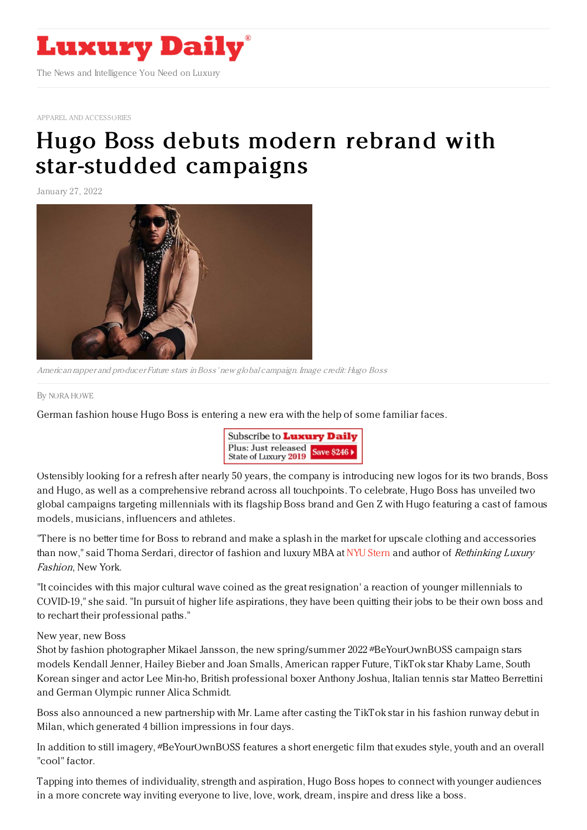

APPAREL AND [ACCESSORIES](https://www.luxurydaily.com/category/sectors/apparel-and-accessories/)

# Hugo Boss debuts modern rebrand with [star-studded](https://www.luxurydaily.com/hugo-boss-debuts-modern-rebrand-with-star-studded-campaigns/) campaigns

January 27, 2022



American rapper and producer Future stars inBoss' new global campaign. Image credit: Hugo Boss

#### By NORA [HOWE](file:///author/nora-howe)

German fashion house Hugo Boss is entering a new era with the help of some familiar faces.



Ostensibly looking for a refresh after nearly 50 years, the company is introducing new logos for its two brands, Boss and Hugo, as well as a comprehensive rebrand across all touchpoints. To celebrate, Hugo Boss has unveiled two global campaigns targeting millennials with its flagship Boss brand and Gen Z with Hugo featuring a cast of famous models, musicians, influencers and athletes.

"There is no better time for Boss to rebrand and make a splash in the market for upscale clothing and accessories than now," said Thoma Serdari, director of fashion and luxury MBA at NYU [Stern](https://www.stern.nyu.edu/) and author of Rethinking Luxury Fashion, New York.

"It coincides with this major cultural wave coined as the great resignation' a reaction of younger millennials to COVID-19," she said. "In pursuit of higher life aspirations, they have been quitting their jobs to be their own boss and to rechart their professional paths."

### New year, new Boss

Shot by fashion photographer Mikael Jansson, the new spring/summer 2022 #BeYourOwnBOSS campaign stars models Kendall Jenner, Hailey Bieber and Joan Smalls, American rapper Future, TikTok star Khaby Lame, South Korean singer and actor Lee Min-ho, British professional boxer Anthony Joshua, Italian tennis star Matteo Berrettini and German Olympic runner Alica Schmidt.

Boss also announced a new partnership with Mr. Lame after casting the TikTok star in his fashion runway debut in Milan, which generated 4 billion impressions in four days.

In addition to still imagery, #BeYourOwnBOSS features a short energetic film that exudes style, youth and an overall "cool" factor.

Tapping into themes of individuality, strength and aspiration, Hugo Boss hopes to connect with younger audiences in a more concrete way inviting everyone to live, love, work, dream, inspire and dress like a boss.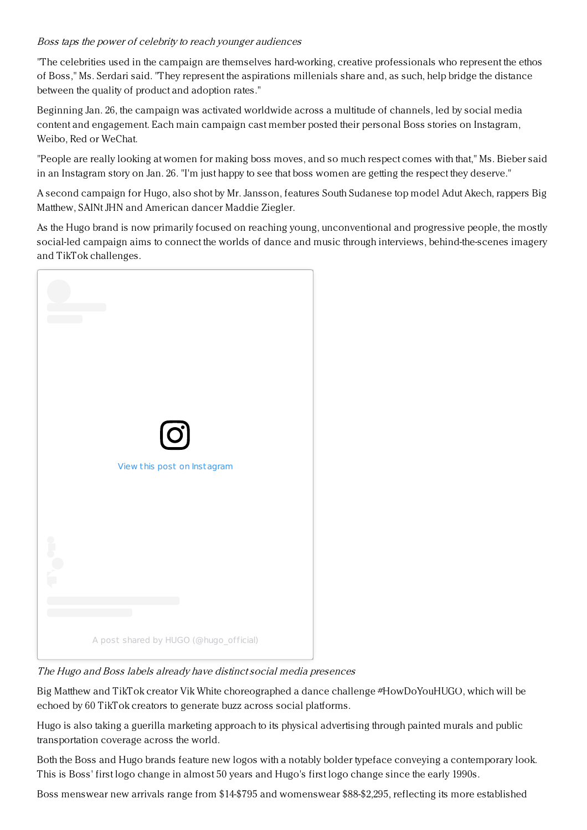## Boss taps the power of celebrity to reach younger audiences

"The celebrities used in the campaign are themselves hard-working, creative professionals who represent the ethos of Boss," Ms. Serdari said. "They represent the aspirations millenials share and, as such, help bridge the distance between the quality of product and adoption rates."

Beginning Jan. 26, the campaign was activated worldwide across a multitude of channels, led by social media content and engagement. Each main campaign cast member posted their personal Boss stories on Instagram, Weibo, Red or WeChat.

"People are really looking at women for making boss moves, and so much respect comes with that," Ms. Bieber said in an Instagram story on Jan. 26. "I'm just happy to see that boss women are getting the respect they deserve."

A second campaign for Hugo, also shot by Mr. Jansson, features South Sudanese top model Adut Akech, rappers Big Matthew, SAINt JHN and American dancer Maddie Ziegler.

As the Hugo brand is now primarily focused on reaching young, unconventional and progressive people, the mostly social-led campaign aims to connect the worlds of dance and music through interviews, behind-the-scenes imagery and TikTok challenges.



The Hugo and Boss labels already have distinctsocial media presences

Big Matthew and TikTok creator Vik White choreographed a dance challenge #HowDoYouHUGO, which will be echoed by 60 TikTok creators to generate buzz across social platforms.

Hugo is also taking a guerilla marketing approach to its physical advertising through painted murals and public transportation coverage across the world.

Both the Boss and Hugo brands feature new logos with a notably bolder typeface conveying a contemporary look. This is Boss' first logo change in almost 50 years and Hugo's first logo change since the early 1990s.

Boss menswear new arrivals range from \$14-\$795 and womenswear \$88-\$2,295, reflecting its more established